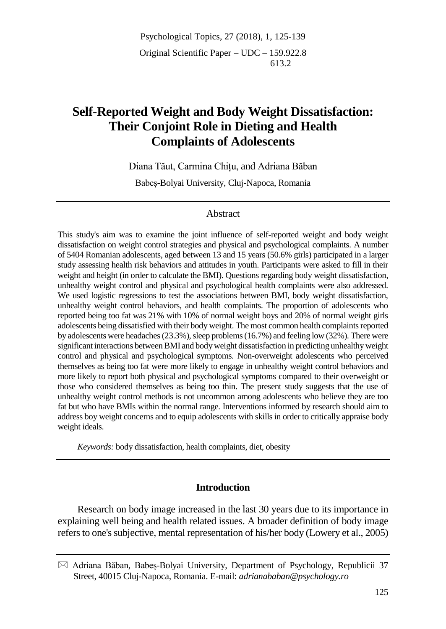Psychological Topics, 27 (2018), 1, 125-139 Original Scientific Paper – UDC – 159.922.8 613.2

# **Self-Reported Weight and Body Weight Dissatisfaction: Their Conjoint Role in Dieting and Health Complaints of Adolescents**

Diana Tăut, Carmina Chițu, and Adriana Băban

Babeș-Bolyai University, Cluj-Napoca, Romania

# Abstract

This study's aim was to examine the joint influence of self-reported weight and body weight dissatisfaction on weight control strategies and physical and psychological complaints. A number of 5404 Romanian adolescents, aged between 13 and 15 years (50.6% girls) participated in a larger study assessing health risk behaviors and attitudes in youth. Participants were asked to fill in their weight and height (in order to calculate the BMI). Questions regarding body weight dissatisfaction, unhealthy weight control and physical and psychological health complaints were also addressed. We used logistic regressions to test the associations between BMI, body weight dissatisfaction, unhealthy weight control behaviors, and health complaints. The proportion of adolescents who reported being too fat was 21% with 10% of normal weight boys and 20% of normal weight girls adolescents being dissatisfied with their body weight. The most common health complaints reported by adolescents were headaches (23.3%), sleep problems (16.7%) and feeling low (32%). There were significant interactions between BMI and body weight dissatisfaction in predicting unhealthy weight control and physical and psychological symptoms. Non-overweight adolescents who perceived themselves as being too fat were more likely to engage in unhealthy weight control behaviors and more likely to report both physical and psychological symptoms compared to their overweight or those who considered themselves as being too thin. The present study suggests that the use of unhealthy weight control methods is not uncommon among adolescents who believe they are too fat but who have BMIs within the normal range. Interventions informed by research should aim to address boy weight concerns and to equip adolescents with skills in order to critically appraise body weight ideals.

*Keywords:* body dissatisfaction, health complaints, diet, obesity

# **Introduction**

Research on body image increased in the last 30 years due to its importance in explaining well being and health related issues. A broader definition of body image refers to one's subjective, mental representation of his/her body (Lowery et al., 2005)

 $\boxtimes$  Adriana Băban, Babeș-Bolyai University, Department of Psychology, Republicii 37 Street, 40015 Cluj-Napoca, Romania. E-mail: *adrianababan@psychology.ro*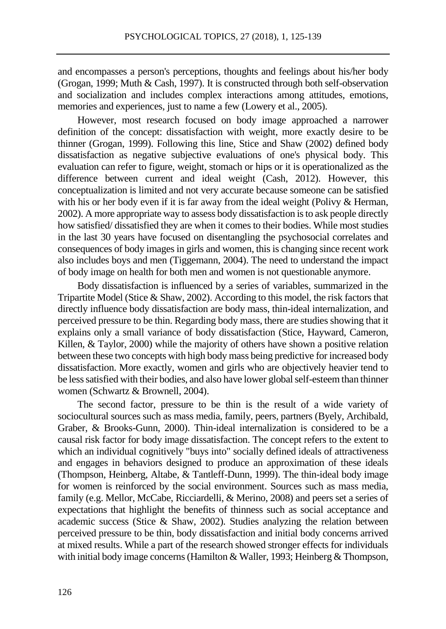and encompasses a person's perceptions, thoughts and feelings about his/her body (Grogan, 1999; Muth & Cash, 1997). It is constructed through both self-observation and socialization and includes complex interactions among attitudes, emotions, memories and experiences, just to name a few (Lowery et al., 2005).

However, most research focused on body image approached a narrower definition of the concept: dissatisfaction with weight, more exactly desire to be thinner (Grogan, 1999). Following this line, Stice and Shaw (2002) defined body dissatisfaction as negative subjective evaluations of one's physical body. This evaluation can refer to figure, weight, stomach or hips or it is operationalized as the difference between current and ideal weight (Cash, 2012). However, this conceptualization is limited and not very accurate because someone can be satisfied with his or her body even if it is far away from the ideal weight (Polivy & Herman, 2002). A more appropriate way to assess body dissatisfaction is to ask people directly how satisfied/ dissatisfied they are when it comes to their bodies. While most studies in the last 30 years have focused on disentangling the psychosocial correlates and consequences of body images in girls and women, this is changing since recent work also includes boys and men (Tiggemann, 2004). The need to understand the impact of body image on health for both men and women is not questionable anymore.

Body dissatisfaction is influenced by a series of variables, summarized in the Tripartite Model (Stice & Shaw, 2002). According to this model, the risk factors that directly influence body dissatisfaction are body mass, thin-ideal internalization, and perceived pressure to be thin. Regarding body mass, there are studies showing that it explains only a small variance of body dissatisfaction (Stice, Hayward, Cameron, Killen, & Taylor, 2000) while the majority of others have shown a positive relation between these two concepts with high body mass being predictive for increased body dissatisfaction. More exactly, women and girls who are objectively heavier tend to be less satisfied with their bodies, and also have lower global self-esteem than thinner women (Schwartz & Brownell, 2004).

The second factor, pressure to be thin is the result of a wide variety of sociocultural sources such as mass media, family, peers, partners (Byely, Archibald, Graber, & Brooks-Gunn, 2000). Thin-ideal internalization is considered to be a causal risk factor for body image dissatisfaction. The concept refers to the extent to which an individual cognitively "buys into" socially defined ideals of attractiveness and engages in behaviors designed to produce an approximation of these ideals (Thompson, Heinberg, Altabe, & Tantleff-Dunn, 1999). The thin-ideal body image for women is reinforced by the social environment. Sources such as mass media, family (e.g. Mellor, McCabe, Ricciardelli, & Merino, 2008) and peers set a series of expectations that highlight the benefits of thinness such as social acceptance and academic success (Stice & Shaw, 2002). Studies analyzing the relation between perceived pressure to be thin, body dissatisfaction and initial body concerns arrived at mixed results. While a part of the research showed stronger effects for individuals with initial body image concerns (Hamilton & Waller, 1993; Heinberg & Thompson,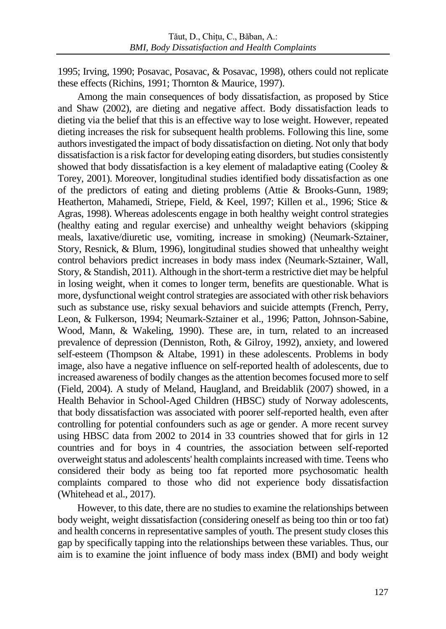1995; Irving, 1990; Posavac, Posavac, & Posavac, 1998), others could not replicate these effects (Richins, 1991; Thornton & Maurice, 1997).

Among the main consequences of body dissatisfaction, as proposed by Stice and Shaw (2002), are dieting and negative affect. Body dissatisfaction leads to dieting via the belief that this is an effective way to lose weight. However, repeated dieting increases the risk for subsequent health problems. Following this line, some authors investigated the impact of body dissatisfaction on dieting. Not only that body dissatisfaction is a risk factor for developing eating disorders, but studies consistently showed that body dissatisfaction is a key element of maladaptive eating (Cooley & Torey, 2001). Moreover, longitudinal studies identified body dissatisfaction as one of the predictors of eating and dieting problems (Attie & Brooks-Gunn, 1989; Heatherton, Mahamedi, Striepe, Field, & Keel, 1997; Killen et al., 1996; Stice & Agras, 1998). Whereas adolescents engage in both healthy weight control strategies (healthy eating and regular exercise) and unhealthy weight behaviors (skipping meals, laxative/diuretic use, vomiting, increase in smoking) (Neumark-Sztainer, Story, Resnick, & Blum, 1996), longitudinal studies showed that unhealthy weight control behaviors predict increases in body mass index (Neumark-Sztainer, Wall, Story, & Standish, 2011). Although in the short-term a restrictive diet may be helpful in losing weight, when it comes to longer term, benefits are questionable. What is more, dysfunctional weight control strategies are associated with other risk behaviors such as substance use, risky sexual behaviors and suicide attempts (French, Perry, Leon, & Fulkerson, 1994; Neumark-Sztainer et al., 1996; Patton, Johnson-Sabine, Wood, Mann, & Wakeling, 1990). These are, in turn, related to an increased prevalence of depression (Denniston, Roth, & Gilroy, 1992), anxiety, and lowered self-esteem (Thompson & Altabe, 1991) in these adolescents. Problems in body image, also have a negative influence on self-reported health of adolescents, due to increased awareness of bodily changes as the attention becomes focused more to self (Field, 2004). A study of Meland, Haugland, and Breidablik (2007) showed, in a Health Behavior in School-Aged Children (HBSC) study of Norway adolescents, that body dissatisfaction was associated with poorer self-reported health, even after controlling for potential confounders such as age or gender. A more recent survey using HBSC data from 2002 to 2014 in 33 countries showed that for girls in 12 countries and for boys in 4 countries, the association between self-reported overweight status and adolescents' health complaints increased with time. Teens who considered their body as being too fat reported more psychosomatic health complaints compared to those who did not experience body dissatisfaction (Whitehead et al., 2017).

However, to this date, there are no studies to examine the relationships between body weight, weight dissatisfaction (considering oneself as being too thin or too fat) and health concerns in representative samples of youth. The present study closes this gap by specifically tapping into the relationships between these variables. Thus, our aim is to examine the joint influence of body mass index (BMI) and body weight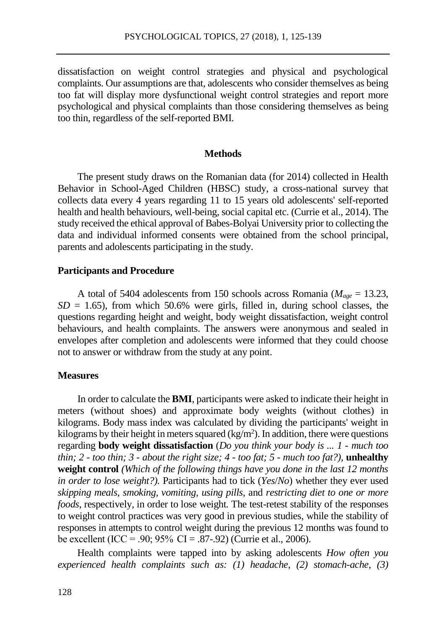dissatisfaction on weight control strategies and physical and psychological complaints. Our assumptions are that, adolescents who consider themselves as being too fat will display more dysfunctional weight control strategies and report more psychological and physical complaints than those considering themselves as being too thin, regardless of the self-reported BMI.

### **Methods**

The present study draws on the Romanian data (for 2014) collected in Health Behavior in School-Aged Children (HBSC) study, a cross-national survey that collects data every 4 years regarding 11 to 15 years old adolescents' self-reported health and health behaviours, well-being, social capital etc. (Currie et al., 2014). The study received the ethical approval of Babes-Bolyai University prior to collecting the data and individual informed consents were obtained from the school principal, parents and adolescents participating in the study.

#### **Participants and Procedure**

A total of 5404 adolescents from 150 schools across Romania (*Mage* = 13.23,  $SD = 1.65$ ), from which 50.6% were girls, filled in, during school classes, the questions regarding height and weight, body weight dissatisfaction, weight control behaviours, and health complaints. The answers were anonymous and sealed in envelopes after completion and adolescents were informed that they could choose not to answer or withdraw from the study at any point.

### **Measures**

In order to calculate the **BMI**, participants were asked to indicate their height in meters (without shoes) and approximate body weights (without clothes) in kilograms. Body mass index was calculated by dividing the participants' weight in kilograms by their height in meters squared  $(kg/m<sup>2</sup>)$ . In addition, there were questions regarding **body weight dissatisfaction** (*Do you think your body is ... 1 - much too thin; 2 - too thin; 3 - about the right size; 4 - too fat; 5 - much too fat?),* **unhealthy weight control** *(Which of the following things have you done in the last 12 months in order to lose weight?).* Participants had to tick (*Yes*/*No*) whether they ever used *skipping meals, smoking, vomiting, using pills,* and *restricting diet to one or more foods*, respectively, in order to lose weight*.* The test-retest stability of the responses to weight control practices was very good in previous studies, while the stability of responses in attempts to control weight during the previous 12 months was found to be excellent (ICC = .90;  $95\%$  CI = .87-.92) (Currie et al., 2006).

Health complaints were tapped into by asking adolescents *How often you experienced health complaints such as: (1) headache, (2) stomach-ache, (3)*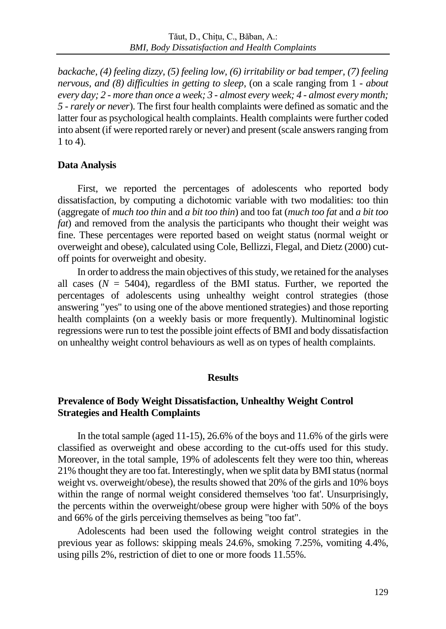*backache, (4) feeling dizzy, (5) feeling low, (6) irritability or bad temper, (7) feeling nervous, and (8) difficulties in getting to sleep*, (on a scale ranging from 1 *- about every day; 2 - more than once a week; 3 - almost every week; 4 - almost every month; 5 - rarely or never*). The first four health complaints were defined as somatic and the latter four as psychological health complaints. Health complaints were further coded into absent (if were reported rarely or never) and present (scale answers ranging from 1 to 4).

# **Data Analysis**

First, we reported the percentages of adolescents who reported body dissatisfaction, by computing a dichotomic variable with two modalities: too thin (aggregate of *much too thin* and *a bit too thin*) and too fat (*much too fat* and *a bit too fat*) and removed from the analysis the participants who thought their weight was fine. These percentages were reported based on weight status (normal weight or overweight and obese), calculated using Cole, Bellizzi, Flegal, and Dietz (2000) cutoff points for overweight and obesity.

In order to address the main objectives of this study, we retained for the analyses all cases  $(N = 5404)$ , regardless of the BMI status. Further, we reported the percentages of adolescents using unhealthy weight control strategies (those answering "yes" to using one of the above mentioned strategies) and those reporting health complaints (on a weekly basis or more frequently). Multinominal logistic regressions were run to test the possible joint effects of BMI and body dissatisfaction on unhealthy weight control behaviours as well as on types of health complaints.

#### **Results**

# **Prevalence of Body Weight Dissatisfaction, Unhealthy Weight Control Strategies and Health Complaints**

In the total sample (aged 11-15), 26.6% of the boys and 11.6% of the girls were classified as overweight and obese according to the cut-offs used for this study. Moreover, in the total sample, 19% of adolescents felt they were too thin, whereas 21% thought they are too fat. Interestingly, when we split data by BMI status (normal weight vs. overweight/obese), the results showed that 20% of the girls and 10% boys within the range of normal weight considered themselves 'too fat'. Unsurprisingly, the percents within the overweight/obese group were higher with 50% of the boys and 66% of the girls perceiving themselves as being "too fat".

Adolescents had been used the following weight control strategies in the previous year as follows: skipping meals 24.6%, smoking 7.25%, vomiting 4.4%, using pills 2%, restriction of diet to one or more foods 11.55%.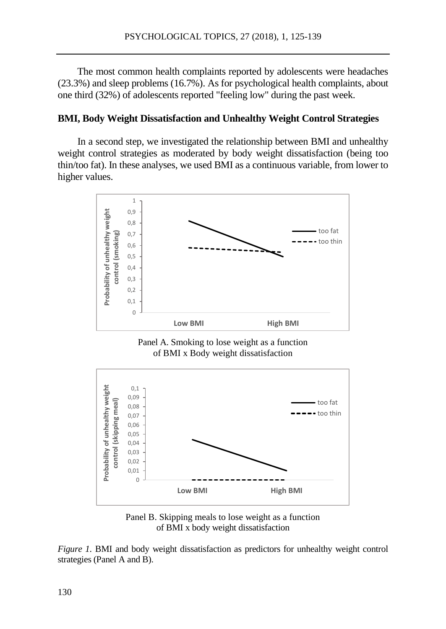The most common health complaints reported by adolescents were headaches (23.3%) and sleep problems (16.7%). As for psychological health complaints, about one third (32%) of adolescents reported "feeling low" during the past week.

### **BMI, Body Weight Dissatisfaction and Unhealthy Weight Control Strategies**

In a second step, we investigated the relationship between BMI and unhealthy weight control strategies as moderated by body weight dissatisfaction (being too thin/too fat). In these analyses, we used BMI as a continuous variable, from lower to higher values.



Panel A. Smoking to lose weight as a function of BMI x Body weight dissatisfaction



Panel B. Skipping meals to lose weight as a function of BMI x body weight dissatisfaction

*Figure 1.* BMI and body weight dissatisfaction as predictors for unhealthy weight control strategies (Panel A and B).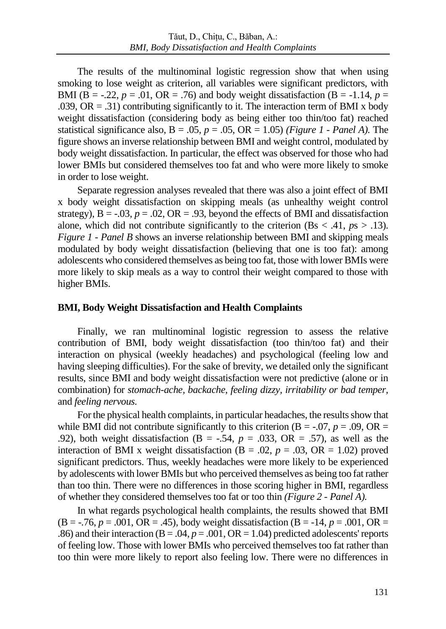The results of the multinominal logistic regression show that when using smoking to lose weight as criterion, all variables were significant predictors, with BMI (B = -.22,  $p = .01$ , OR = .76) and body weight dissatisfaction (B = -1.14,  $p =$ .039,  $OR = .31$ ) contributing significantly to it. The interaction term of BMI x body weight dissatisfaction (considering body as being either too thin/too fat) reached statistical significance also,  $B = .05$ ,  $p = .05$ ,  $OR = 1.05$ ) *(Figure 1 - Panel A)*. The figure shows an inverse relationship between BMI and weight control, modulated by body weight dissatisfaction. In particular, the effect was observed for those who had lower BMIs but considered themselves too fat and who were more likely to smoke in order to lose weight.

Separate regression analyses revealed that there was also a joint effect of BMI x body weight dissatisfaction on skipping meals (as unhealthy weight control strategy),  $B = -0.03$ ,  $p = 0.02$ ,  $OR = 0.93$ , beyond the effects of BMI and dissatisfaction alone, which did not contribute significantly to the criterion (Bs  $\lt$  .41,  $ps > .13$ ). *Figure 1 - Panel B* shows an inverse relationship between BMI and skipping meals modulated by body weight dissatisfaction (believing that one is too fat): among adolescents who considered themselves as being too fat, those with lower BMIs were more likely to skip meals as a way to control their weight compared to those with higher BMIs.

# **BMI, Body Weight Dissatisfaction and Health Complaints**

Finally, we ran multinominal logistic regression to assess the relative contribution of BMI, body weight dissatisfaction (too thin/too fat) and their interaction on physical (weekly headaches) and psychological (feeling low and having sleeping difficulties). For the sake of brevity, we detailed only the significant results, since BMI and body weight dissatisfaction were not predictive (alone or in combination) for *stomach-ache, backache, feeling dizzy, irritability or bad temper,*  and *feeling nervous.* 

For the physical health complaints, in particular headaches, the results show that while BMI did not contribute significantly to this criterion ( $B = -0.07$ ,  $p = 0.09$ ,  $OR =$ .92), both weight dissatisfaction ( $B = -.54$ ,  $p = .033$ ,  $OR = .57$ ), as well as the interaction of BMI x weight dissatisfaction ( $B = .02$ ,  $p = .03$ ,  $OR = 1.02$ ) proved significant predictors. Thus, weekly headaches were more likely to be experienced by adolescents with lower BMIs but who perceived themselves as being too fat rather than too thin. There were no differences in those scoring higher in BMI, regardless of whether they considered themselves too fat or too thin *(Figure 2 - Panel A).*

In what regards psychological health complaints, the results showed that BMI  $(B = -.76, p = .001, OR = .45)$ , body weight dissatisfaction  $(B = -14, p = .001, OR = 0.01)$ .86) and their interaction ( $B = .04$ ,  $p = .001$ ,  $OR = 1.04$ ) predicted adolescents' reports of feeling low. Those with lower BMIs who perceived themselves too fat rather than too thin were more likely to report also feeling low. There were no differences in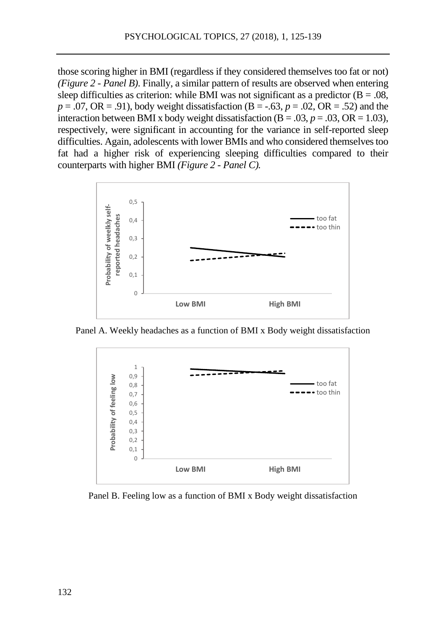those scoring higher in BMI (regardless if they considered themselves too fat or not) *(Figure 2 - Panel B)*. Finally, a similar pattern of results are observed when entering sleep difficulties as criterion: while BMI was not significant as a predictor ( $B = .08$ ,  $p = .07$ , OR = .91), body weight dissatisfaction (B = -.63,  $p = .02$ , OR = .52) and the interaction between BMI x body weight dissatisfaction  $(B = .03, p = .03, OR = 1.03)$ , respectively, were significant in accounting for the variance in self-reported sleep difficulties. Again, adolescents with lower BMIs and who considered themselves too fat had a higher risk of experiencing sleeping difficulties compared to their counterparts with higher BMI *(Figure 2 - Panel C).*



Panel A. Weekly headaches as a function of BMI x Body weight dissatisfaction



Panel B. Feeling low as a function of BMI x Body weight dissatisfaction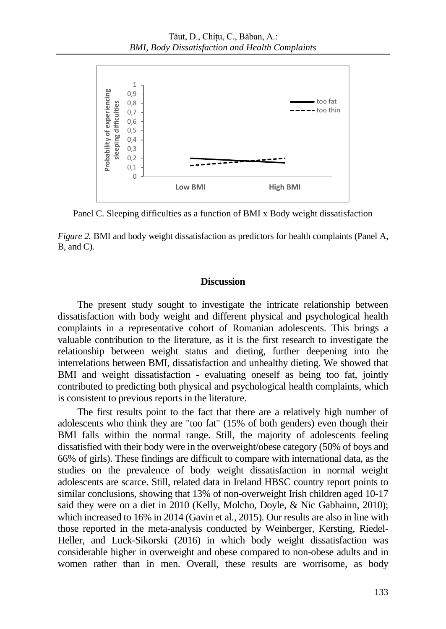

Panel C. Sleeping difficulties as a function of BMI x Body weight dissatisfaction

*Figure 2.* BMI and body weight dissatisfaction as predictors for health complaints (Panel A, B, and C).

### **Discussion**

The present study sought to investigate the intricate relationship between dissatisfaction with body weight and different physical and psychological health complaints in a representative cohort of Romanian adolescents. This brings a valuable contribution to the literature, as it is the first research to investigate the relationship between weight status and dieting, further deepening into the interrelations between BMI, dissatisfaction and unhealthy dieting. We showed that BMI and weight dissatisfaction - evaluating oneself as being too fat, jointly contributed to predicting both physical and psychological health complaints, which is consistent to previous reports in the literature.

The first results point to the fact that there are a relatively high number of adolescents who think they are "too fat" (15% of both genders) even though their BMI falls within the normal range. Still, the majority of adolescents feeling dissatisfied with their body were in the overweight/obese category (50% of boys and 66% of girls). These findings are difficult to compare with international data, as the studies on the prevalence of body weight dissatisfaction in normal weight adolescents are scarce. Still, related data in Ireland HBSC country report points to similar conclusions, showing that 13% of non-overweight Irish children aged 10-17 said they were on a diet in 2010 (Kelly, Molcho, Doyle, & Nic Gabhainn, 2010); which increased to 16% in 2014 (Gavin et al., 2015). Our results are also in line with those reported in the meta-analysis conducted by Weinberger, Kersting, Riedel-Heller, and Luck-Sikorski (2016) in which body weight dissatisfaction was considerable higher in overweight and obese compared to non-obese adults and in women rather than in men. Overall, these results are worrisome, as body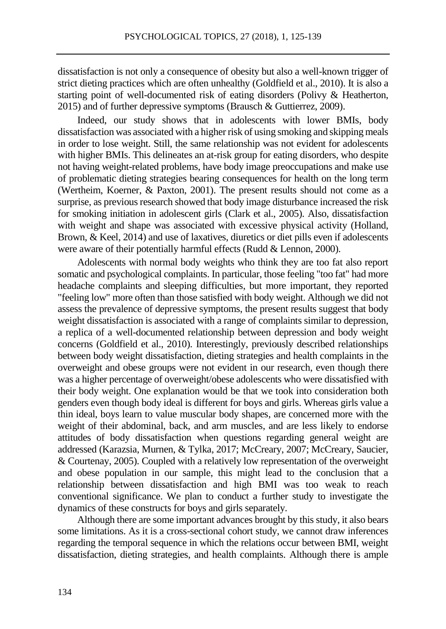dissatisfaction is not only a consequence of obesity but also a well-known trigger of strict dieting practices which are often unhealthy (Goldfield et al., 2010). It is also a starting point of well-documented risk of eating disorders (Polivy & Heatherton, 2015) and of further depressive symptoms (Brausch & Guttierrez, 2009).

Indeed, our study shows that in adolescents with lower BMIs, body dissatisfaction was associated with a higher risk of using smoking and skipping meals in order to lose weight. Still, the same relationship was not evident for adolescents with higher BMIs. This delineates an at-risk group for eating disorders, who despite not having weight-related problems, have body image preoccupations and make use of problematic dieting strategies bearing consequences for health on the long term (Wertheim, Koerner, & Paxton, 2001). The present results should not come as a surprise, as previous research showed that body image disturbance increased the risk for smoking initiation in adolescent girls (Clark et al., 2005). Also, dissatisfaction with weight and shape was associated with excessive physical activity (Holland, Brown,  $\&$  Keel, 2014) and use of laxatives, diuretics or diet pills even if adolescents were aware of their potentially harmful effects (Rudd & Lennon, 2000).

Adolescents with normal body weights who think they are too fat also report somatic and psychological complaints. In particular, those feeling "too fat" had more headache complaints and sleeping difficulties, but more important, they reported "feeling low" more often than those satisfied with body weight. Although we did not assess the prevalence of depressive symptoms, the present results suggest that body weight dissatisfaction is associated with a range of complaints similar to depression, a replica of a well-documented relationship between depression and body weight concerns (Goldfield et al., 2010). Interestingly, previously described relationships between body weight dissatisfaction, dieting strategies and health complaints in the overweight and obese groups were not evident in our research, even though there was a higher percentage of overweight/obese adolescents who were dissatisfied with their body weight. One explanation would be that we took into consideration both genders even though body ideal is different for boys and girls. Whereas girls value a thin ideal, boys learn to value muscular body shapes, are concerned more with the weight of their abdominal, back, and arm muscles, and are less likely to endorse attitudes of body dissatisfaction when questions regarding general weight are addressed (Karazsia, Murnen, & Tylka, 2017; McCreary, 2007; McCreary, Saucier, & Courtenay, 2005). Coupled with a relatively low representation of the overweight and obese population in our sample, this might lead to the conclusion that a relationship between dissatisfaction and high BMI was too weak to reach conventional significance. We plan to conduct a further study to investigate the dynamics of these constructs for boys and girls separately.

Although there are some important advances brought by this study, it also bears some limitations. As it is a cross-sectional cohort study, we cannot draw inferences regarding the temporal sequence in which the relations occur between BMI, weight dissatisfaction, dieting strategies, and health complaints. Although there is ample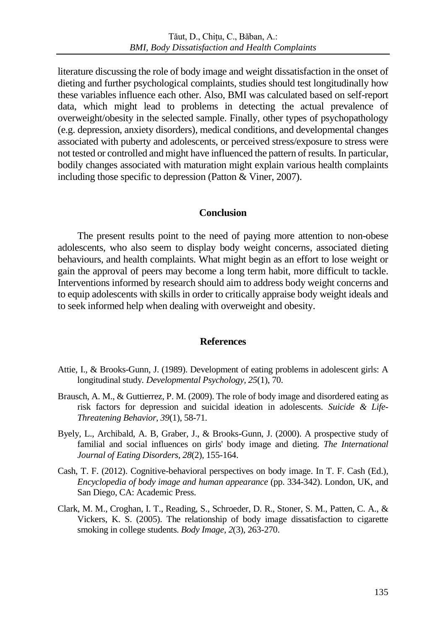literature discussing the role of body image and weight dissatisfaction in the onset of dieting and further psychological complaints, studies should test longitudinally how these variables influence each other. Also, BMI was calculated based on self-report data, which might lead to problems in detecting the actual prevalence of overweight/obesity in the selected sample. Finally, other types of psychopathology (e.g. depression, anxiety disorders), medical conditions, and developmental changes associated with puberty and adolescents, or perceived stress/exposure to stress were not tested or controlled and might have influenced the pattern of results. In particular, bodily changes associated with maturation might explain various health complaints including those specific to depression (Patton & Viner, 2007).

# **Conclusion**

The present results point to the need of paying more attention to non-obese adolescents, who also seem to display body weight concerns, associated dieting behaviours, and health complaints. What might begin as an effort to lose weight or gain the approval of peers may become a long term habit, more difficult to tackle. Interventions informed by research should aim to address body weight concerns and to equip adolescents with skills in order to critically appraise body weight ideals and to seek informed help when dealing with overweight and obesity.

### **References**

- Attie, I., & Brooks-Gunn, J. (1989). Development of eating problems in adolescent girls: A longitudinal study*. Developmental Psychology, 25*(1), 70.
- Brausch, A. M., & Guttierrez, P. M. (2009). The role of body image and disordered eating as risk factors for depression and suicidal ideation in adolescents. *Suicide & Life-Threatening Behavior, 39*(1), 58-71.
- Byely, L., Archibald, A. B, Graber, J., & Brooks-Gunn, J. (2000). A prospective study of familial and social influences on girls' body image and dieting. *The International Journal of Eating Disorders, 28*(2), 155-164.
- Cash, T. F. (2012). Cognitive-behavioral perspectives on body image. In T. F. Cash (Ed.), *Encyclopedia of body image and human appearance* (pp. 334-342). London, UK, and San Diego, CA: Academic Press.
- Clark, M. M., Croghan, I. T., Reading, S., Schroeder, D. R., Stoner, S. M., Patten, C. A., & Vickers, K. S. (2005). The relationship of body image dissatisfaction to cigarette smoking in college students. *Body Image, 2*(3), 263-270.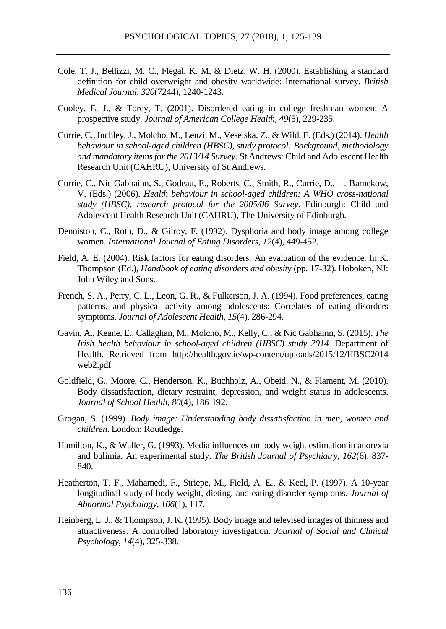- Cole, T. J., Bellizzi, M. C., Flegal, K. M, & Dietz, W. H. (2000). Establishing a standard definition for child overweight and obesity worldwide: International survey. *British Medical Journal, 320*(7244), 1240-1243.
- Cooley, E. J., & Torey, T. (2001). Disordered eating in college freshman women: A prospective study. *Journal of American College Health, 49*(5), 229-235.
- Currie, C., Inchley, J., Molcho, M., Lenzi, M., Veselska, Z., & Wild, F. (Eds.) (2014). *Health behaviour in school-aged children (HBSC), study protocol: Background, methodology and mandatory items for the 2013/14 Survey*. St Andrews: Child and Adolescent Health Research Unit (CAHRU), University of St Andrews.
- Currie, C., Nic Gabhainn, S., Godeau, E., Roberts, C., Smith, R., Currie, D., … Barnekow, V. (Eds.) (2006). *Health behaviour in school-aged children: A WHO cross-national study (HBSC), research protocol for the 2005/06 Survey*. Edinburgh: Child and Adolescent Health Research Unit (CAHRU), The University of Edinburgh.
- Denniston, C., Roth, D., & Gilroy, F. (1992). Dysphoria and body image among college women. *International Journal of Eating Disorders, 12*(4), 449-452.
- Field, A. E. (2004). Risk factors for eating disorders: An evaluation of the evidence. In K. Thompson (Ed.), *Handbook of eating disorders and obesity* (pp. 17-32). Hoboken, NJ: John Wiley and Sons.
- French, S. A., Perry, C. L., Leon, G. R., & Fulkerson, J. A. (1994). Food preferences, eating patterns, and physical activity among adolescents: Correlates of eating disorders symptoms. *Journal of Adolescent Health, 15*(4), 286-294.
- Gavin, A., Keane, E., Callaghan, M., Molcho, M., Kelly, C., & Nic Gabhainn, S. (2015). *The Irish health behaviour in school-aged children (HBSC) study 2014*. Department of Health. Retrieved from http://health.gov.ie/wp-content/uploads/2015/12/HBSC2014 web2.pdf
- Goldfield, G., Moore, C., Henderson, K., Buchholz, A., Obeid, N., & Flament, M. (2010). Body dissatisfaction, dietary restraint, depression, and weight status in adolescents. *Journal of School Health, 80*(4), 186-192.
- Grogan, S. (1999). *Body image: Understanding body dissatisfaction in men, women and children*. London: Routledge.
- Hamilton, K., & Waller, G. (1993). Media influences on body weight estimation in anorexia and bulimia. An experimental study. *The British Journal of Psychiatry, 162*(6), 837- 840.
- Heatherton, T. F., Mahamedi, F., Striepe, M., Field, A. E., & Keel, P. (1997). A 10-year longitudinal study of body weight, dieting, and eating disorder symptoms. *Journal of Abnormal Psychology, 106*(1), 117.
- Heinberg, L. J., & Thompson, J. K. (1995). Body image and televised images of thinness and attractiveness: A controlled laboratory investigation. *Journal of Social and Clinical Psychology, 14*(4), 325-338.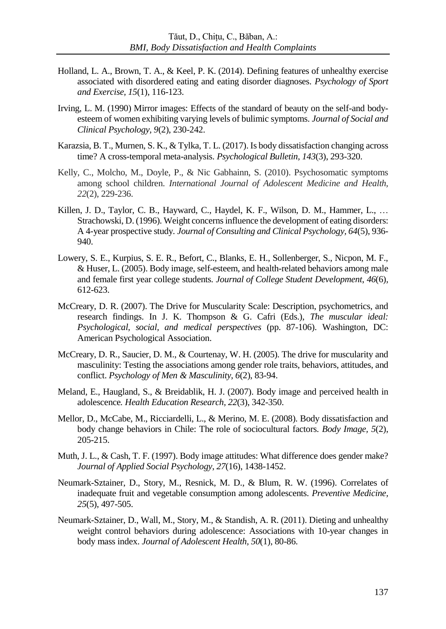- Holland, L. A., Brown, T. A., & Keel, P. K. (2014). Defining features of unhealthy exercise associated with disordered eating and eating disorder diagnoses. *Psychology of Sport and Exercise, 15*(1), 116-123.
- Irving, L. M. (1990) Mirror images: Effects of the standard of beauty on the self-and bodyesteem of women exhibiting varying levels of bulimic symptoms. *Journal of Social and Clinical Psychology, 9*(2), 230-242.
- Karazsia, B. T., Murnen, S. K., & Tylka, T. L. (2017). Is body dissatisfaction changing across time? A cross-temporal meta-analysis. *Psychological Bulletin, 143*(3), 293-320.
- Kelly, C., Molcho, M., Doyle, P., & Nic Gabhainn, S. (2010). Psychosomatic symptoms among school children. *International Journal of Adolescent Medicine and Health, 22*(2), 229-236.
- Killen, J. D., Taylor, C. B., Hayward, C., Haydel, K. F., Wilson, D. M., Hammer, L., … Strachowski, D. (1996). Weight concerns influence the development of eating disorders: A 4-year prospective study*. Journal of Consulting and Clinical Psychology, 64*(5), 936- 940.
- Lowery, S. E., Kurpius, S. E. R., Befort, C., Blanks, E. H., Sollenberger, S., Nicpon, M. F., & Huser, L. (2005). Body image, self-esteem, and health-related behaviors among male and female first year college students*. Journal of College Student Development*, *46*(6)*,*  612-623.
- McCreary, D. R. (2007). The Drive for Muscularity Scale: Description, psychometrics, and research findings. In J. K. Thompson & G. Cafri (Eds.), *The muscular ideal: Psychological, social, and medical perspectives* (pp. 87-106). Washington, DC: American Psychological Association.
- McCreary, D. R., Saucier, D. M., & Courtenay, W. H. (2005). The drive for muscularity and masculinity: Testing the associations among gender role traits, behaviors, attitudes, and conflict. *Psychology of Men & Masculinity*, *6*(2), 83-94.
- Meland, E., Haugland, S., & Breidablik, H. J. (2007). Body image and perceived health in adolescence*. Health Education Research, 22*(3), 342-350.
- Mellor, D., McCabe, M., Ricciardelli, L., & Merino, M. E. (2008). Body dissatisfaction and body change behaviors in Chile: The role of sociocultural factors. *Body Image, 5*(2), 205-215.
- Muth, J. L., & Cash, T. F. (1997). Body image attitudes: What difference does gender make? *Journal of Applied Social Psychology*, *27*(16), 1438-1452.
- Neumark-Sztainer, D., Story, M., Resnick, M. D., & Blum, R. W. (1996). Correlates of inadequate fruit and vegetable consumption among adolescents. *Preventive Medicine, 25*(5), 497-505.
- Neumark-Sztainer, D., Wall, M., Story, M., & Standish, A. R. (2011). Dieting and unhealthy weight control behaviors during adolescence: Associations with 10-year changes in body mass index. *Journal of Adolescent Health, 50*(1), 80-86.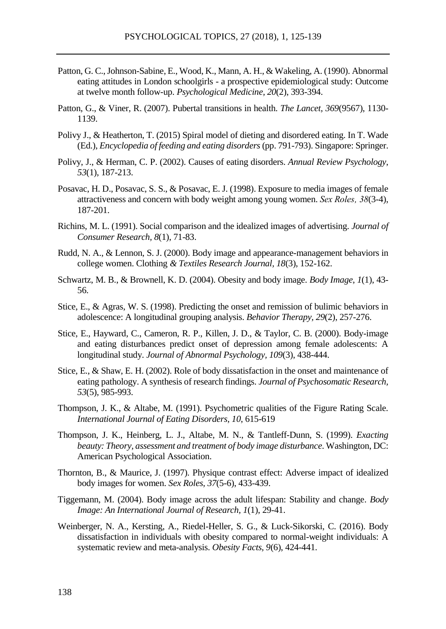- Patton, G. C., Johnson-Sabine, E., Wood, K., Mann, A. H., & Wakeling, A. (1990). Abnormal eating attitudes in London schoolgirls - a prospective epidemiological study: Outcome at twelve month follow-up. *Psychological Medicine, 20*(2), 393-394.
- Patton, G., & Viner, R. (2007). Pubertal transitions in health. *The Lancet, 369*(9567), 1130- 1139.
- Polivy J., & Heatherton, T. (2015) Spiral model of dieting and disordered eating. In T. Wade (Ed.), *Encyclopedia of feeding and eating disorders*(pp. 791-793). Singapore: Springer.
- Polivy, J., & Herman, C. P. (2002). Causes of eating disorders. *Annual Review Psychology*, *53*(1), 187-213.
- Posavac, H. D., Posavac, S. S., & Posavac, E. J. (1998). Exposure to media images of female attractiveness and concern with body weight among young women. *Sex Roles*, 38(3-4), 187-201.
- Richins, M. L. (1991). Social comparison and the idealized images of advertising. *Journal of Consumer Research, 8*(1), 71-83.
- Rudd, N. A., & Lennon, S. J. (2000). Body image and appearance-management behaviors in college women. Clothing *& Textiles Research Journal, 18*(3), 152-162.
- Schwartz, M. B., & Brownell, K. D. (2004). Obesity and body image. *Body Image*, *1*(1), 43- 56.
- Stice, E., & Agras, W. S. (1998). Predicting the onset and remission of bulimic behaviors in adolescence: A longitudinal grouping analysis. *Behavior Therapy, 29*(2), 257-276.
- Stice, E., Hayward, C., Cameron, R. P., Killen, J. D., & Taylor, C. B. (2000). Body-image and eating disturbances predict onset of depression among female adolescents: A longitudinal study. *Journal of Abnormal Psychology, 109*(3), 438-444.
- Stice, E., & Shaw, E. H. (2002). Role of body dissatisfaction in the onset and maintenance of eating pathology. A synthesis of research findings. *Journal of Psychosomatic Research, 53*(5), 985-993.
- Thompson, J. K., & Altabe, M. (1991). Psychometric qualities of the Figure Rating Scale. *International Journal of Eating Disorders, 10*, 615-619
- Thompson, J. K., Heinberg, L. J., Altabe, M. N., & Tantleff-Dunn, S. (1999). *Exacting beauty: Theory, assessment and treatment of body image disturbance*. Washington, DC: American Psychological Association.
- Thornton, B., & Maurice, J. (1997). Physique contrast effect: Adverse impact of idealized body images for women. *Sex Roles, 37*(5-6), 433-439.
- Tiggemann, M. (2004). Body image across the adult lifespan: Stability and change. *Body Image: An International Journal of Research, 1*(1), 29-41.
- Weinberger, N. A., Kersting, A., Riedel-Heller, S. G., & Luck-Sikorski, C. (2016). Body dissatisfaction in individuals with obesity compared to normal-weight individuals: A systematic review and meta-analysis. *Obesity Facts, 9*(6), 424-441.